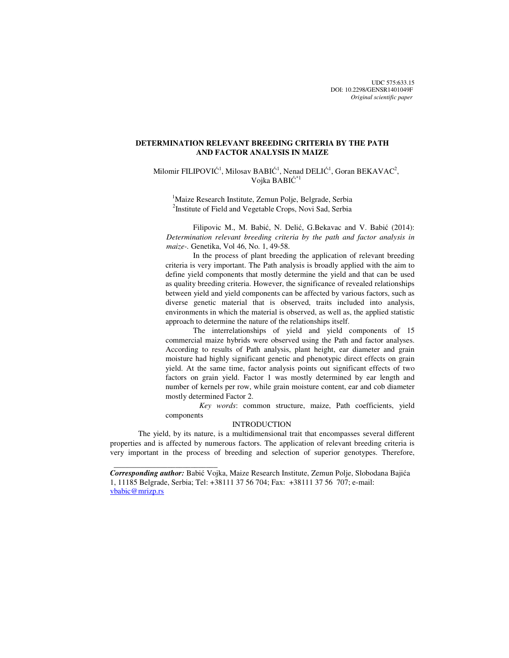UDC 575:633.15 DOI: 10.2298/GENSR1401049F *Original scientific paper*

# **DETERMINATION RELEVANT BREEDING CRITERIA BY THE PATH AND FACTOR ANALYSIS IN MAIZE**

Milomir FILIPOVIĆ<sup>1</sup>, Milosav BABIĆ<sup>1</sup>, Nenad DELIĆ<sup>1</sup>, Goran BEKAVAC<sup>2</sup>, Vojka BABIĆ \*1

<sup>1</sup>Maize Research Institute, Zemun Polje, Belgrade, Serbia <sup>2</sup>Institute of Field and Vegetable Crops, Novi Sad, Serbia

Filipovic M., M. Babić, N. Delić, G.Bekavac and V. Babić (2014): *Determination relevant breeding criteria by the path and factor analysis in maize-.* Genetika, Vol 46, No. 1, 49-58.

In the process of plant breeding the application of relevant breeding criteria is very important. The Path analysis is broadly applied with the aim to define yield components that mostly determine the yield and that can be used as quality breeding criteria. However, the significance of revealed relationships between yield and yield components can be affected by various factors, such as diverse genetic material that is observed, traits included into analysis, environments in which the material is observed, as well as, the applied statistic approach to determine the nature of the relationships itself.

The interrelationships of yield and yield components of 15 commercial maize hybrids were observed using the Path and factor analyses. According to results of Path analysis, plant height, ear diameter and grain moisture had highly significant genetic and phenotypic direct effects on grain yield. At the same time, factor analysis points out significant effects of two factors on grain yield. Factor 1 was mostly determined by ear length and number of kernels per row, while grain moisture content, ear and cob diameter mostly determined Factor 2.

*Key words*: common structure, maize, Path coefficients, yield components

## **INTRODUCTION**

The yield, by its nature, is a multidimensional trait that encompasses several different properties and is affected by numerous factors. The application of relevant breeding criteria is very important in the process of breeding and selection of superior genotypes. Therefore,

*Corresponding author:* Babić Vojka, Maize Research Institute, Zemun Polje, Slobodana Bajića 1, 11185 Belgrade, Serbia; Tel: +38111 37 56 704; Fax: +38111 37 56 707; e-mail: vbabic@mrizp.rs

 $\frac{1}{2}$  , and the set of the set of the set of the set of the set of the set of the set of the set of the set of the set of the set of the set of the set of the set of the set of the set of the set of the set of the set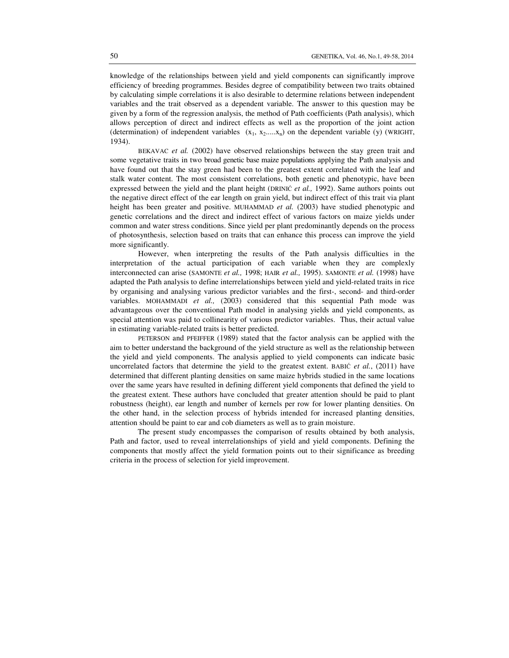knowledge of the relationships between yield and yield components can significantly improve efficiency of breeding programmes. Besides degree of compatibility between two traits obtained by calculating simple correlations it is also desirable to determine relations between independent variables and the trait observed as a dependent variable. The answer to this question may be given by a form of the regression analysis, the method of Path coefficients (Path analysis), which allows perception of direct and indirect effects as well as the proportion of the joint action (determination) of independent variables  $(x_1, x_2,...,x_n)$  on the dependent variable (y) (WRIGHT, 1934).

BEKAVAC *et al.* (2002) have observed relationships between the stay green trait and some vegetative traits in two broad genetic base maize populations applying the Path analysis and have found out that the stay green had been to the greatest extent correlated with the leaf and stalk water content. The most consistent correlations, both genetic and phenotypic, have been expressed between the yield and the plant height (DRINIĆ *et al.,* 1992). Same authors points out the negative direct effect of the ear length on grain yield, but indirect effect of this trait via plant height has been greater and positive. MUHAMMAD *et al.* (2003) have studied phenotypic and genetic correlations and the direct and indirect effect of various factors on maize yields under common and water stress conditions. Since yield per plant predominantly depends on the process of photosynthesis, selection based on traits that can enhance this process can improve the yield more significantly.

However, when interpreting the results of the Path analysis difficulties in the interpretation of the actual participation of each variable when they are complexly interconnected can arise (SAMONTE *et al.,* 1998; HAIR *et al.,* 1995). SAMONTE *et al.* (1998) have adapted the Path analysis to define interrelationships between yield and yield-related traits in rice by organising and analysing various predictor variables and the first-, second- and third-order variables. MOHAMMADI *et al.,* (2003) considered that this sequential Path mode was advantageous over the conventional Path model in analysing yields and yield components, as special attention was paid to collinearity of various predictor variables. Thus, their actual value in estimating variable-related traits is better predicted.

PETERSON and PFEIFFER (1989) stated that the factor analysis can be applied with the aim to better understand the background of the yield structure as well as the relationship between the yield and yield components. The analysis applied to yield components can indicate basic uncorrelated factors that determine the yield to the greatest extent. BABIĆ *et al.*, (2011) have determined that different planting densities on same maize hybrids studied in the same locations over the same years have resulted in defining different yield components that defined the yield to the greatest extent. These authors have concluded that greater attention should be paid to plant robustness (height), ear length and number of kernels per row for lower planting densities. On the other hand, in the selection process of hybrids intended for increased planting densities, attention should be paint to ear and cob diameters as well as to grain moisture.

The present study encompasses the comparison of results obtained by both analysis, Path and factor, used to reveal interrelationships of yield and yield components. Defining the components that mostly affect the yield formation points out to their significance as breeding criteria in the process of selection for yield improvement.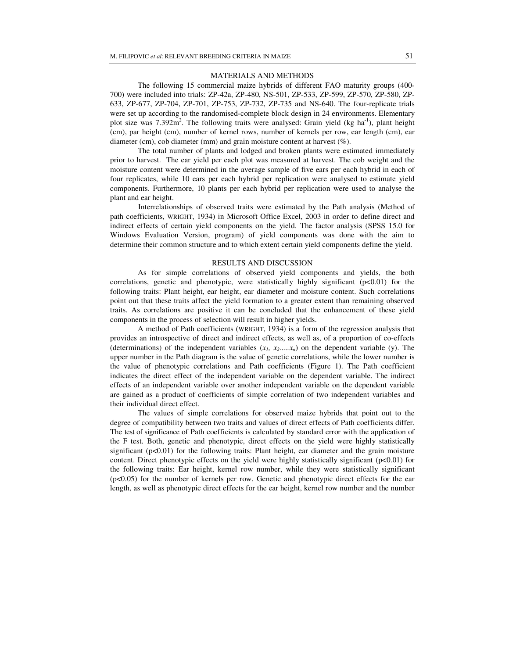#### MATERIALS AND METHODS

The following 15 commercial maize hybrids of different FAO maturity groups (400- 700) were included into trials: ZP-42а, ZP-480, NS-501, ZP-533, ZP-599, ZP-570, ZP-580, ZP-633, ZP-677, ZP-704, ZP-701, ZP-753, ZP-732, ZP-735 and NS-640. The four-replicate trials were set up according to the randomised-complete block design in 24 environments. Elementary plot size was  $7.392m^2$ . The following traits were analysed: Grain yield (kg ha<sup>-1</sup>), plant height (cm), par height (cm), number of kernel rows, number of kernels per row, ear length (cm), ear diameter (cm), cob diameter (mm) and grain moisture content at harvest (%).

The total number of plants and lodged and broken plants were estimated immediately prior to harvest. The ear yield per each plot was measured at harvest. The cob weight and the moisture content were determined in the average sample of five ears per each hybrid in each of four replicates, while 10 ears per each hybrid per replication were analysed to estimate yield components. Furthermore, 10 plants per each hybrid per replication were used to analyse the plant and ear height.

Interrelationships of observed traits were estimated by the Path analysis (Method of path coefficients, WRIGHT, 1934) in Microsoft Office Excel, 2003 in order to define direct and indirect effects of certain yield components on the yield. The factor analysis (SPSS 15.0 for Windows Evaluation Version, program) of yield components was done with the aim to determine their common structure and to which extent certain yield components define the yield.

### RESULTS AND DISCUSSION

As for simple correlations of observed yield components and yields, the both correlations, genetic and phenotypic, were statistically highly significant (p<0.01) for the following traits: Plant height, ear height, ear diameter and moisture content. Such correlations point out that these traits affect the yield formation to a greater extent than remaining observed traits. As correlations are positive it can be concluded that the enhancement of these yield components in the process of selection will result in higher yields.

A method of Path coefficients (WRIGHT, 1934) is a form of the regression analysis that provides an introspective of direct and indirect effects, as well as, of a proportion of co-effects (determinations) of the independent variables  $(x_1, x_2,...,x_n)$  on the dependent variable (y). The upper number in the Path diagram is the value of genetic correlations, while the lower number is the value of phenotypic correlations and Path coefficients (Figure 1). The Path coefficient indicates the direct effect of the independent variable on the dependent variable. The indirect effects of an independent variable over another independent variable on the dependent variable are gained as a product of coefficients of simple correlation of two independent variables and their individual direct effect.

The values of simple correlations for observed maize hybrids that point out to the degree of compatibility between two traits and values of direct effects of Path coefficients differ. The test of significance of Path coefficients is calculated by standard error with the application of the F test. Both, genetic and phenotypic, direct effects on the yield were highly statistically significant  $(p<0.01)$  for the following traits: Plant height, ear diameter and the grain moisture content. Direct phenotypic effects on the yield were highly statistically significant ( $p<0.01$ ) for the following traits: Ear height, kernel row number, while they were statistically significant (p<0.05) for the number of kernels per row. Genetic and phenotypic direct effects for the ear length, as well as phenotypic direct effects for the ear height, kernel row number and the number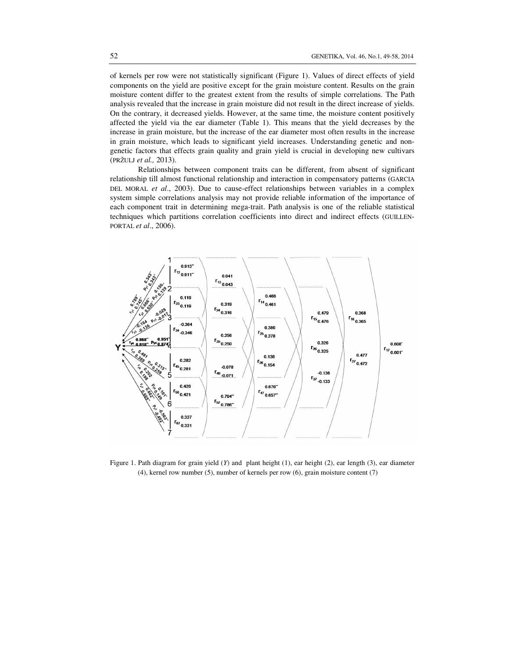of kernels per row were not statistically significant (Figure 1). Values of direct effects of yield components on the yield are positive except for the grain moisture content. Results on the grain moisture content differ to the greatest extent from the results of simple correlations. The Path analysis revealed that the increase in grain moisture did not result in the direct increase of yields. On the contrary, it decreased yields. However, at the same time, the moisture content positively affected the yield via the ear diameter (Table 1). This means that the yield decreases by the increase in grain moisture, but the increase of the ear diameter most often results in the increase in grain moisture, which leads to significant yield increases. Understanding genetic and nongenetic factors that effects grain quality and grain yield is crucial in developing new cultivars (PRŽULJ *et al.,* 2013).

Relationships between component traits can be different, from absent of significant relationship till almost functional relationship and interaction in compensatory patterns (GARCIA DEL MORAL *et al*., 2003). Due to cause-effect relationships between variables in a complex system simple correlations analysis may not provide reliable information of the importance of each component trait in determining mega-trait. Path analysis is one of the reliable statistical techniques which partitions correlation coefficients into direct and indirect effects (GUILLEN-PORTAL *et al*., 2006).



Figure 1. Path diagram for grain yield (*Y*) and plant height (1), ear height (2), ear length (3), ear diameter (4), kernel row number (5), number of kernels per row (6), grain moisture content (7)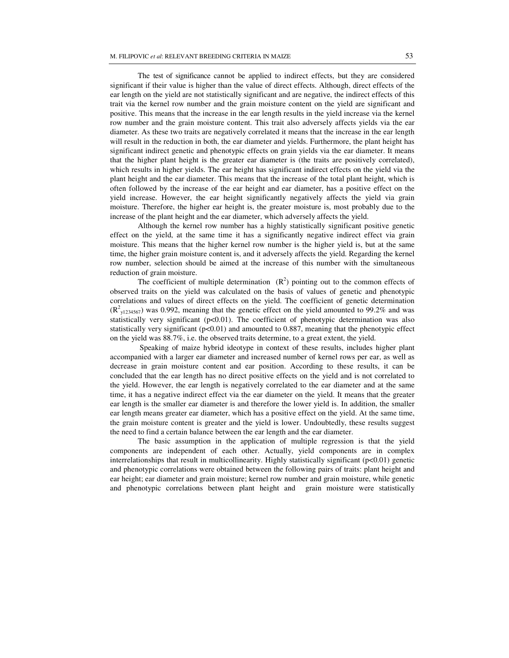The test of significance cannot be applied to indirect effects, but they are considered significant if their value is higher than the value of direct effects. Although, direct effects of the ear length on the yield are not statistically significant and are negative, the indirect effects of this trait via the kernel row number and the grain moisture content on the yield are significant and positive. This means that the increase in the ear length results in the yield increase via the kernel row number and the grain moisture content. This trait also adversely affects yields via the ear diameter. As these two traits are negatively correlated it means that the increase in the ear length will result in the reduction in both, the ear diameter and yields. Furthermore, the plant height has significant indirect genetic and phenotypic effects on grain yields via the ear diameter. It means that the higher plant height is the greater ear diameter is (the traits are positively correlated), which results in higher yields. The ear height has significant indirect effects on the yield via the plant height and the ear diameter. This means that the increase of the total plant height, which is often followed by the increase of the ear height and ear diameter, has a positive effect on the yield increase. However, the ear height significantly negatively affects the yield via grain moisture. Therefore, the higher ear height is, the greater moisture is, most probably due to the increase of the plant height and the ear diameter, which adversely affects the yield.

Although the kernel row number has a highly statistically significant positive genetic effect on the yield, at the same time it has a significantly negative indirect effect via grain moisture. This means that the higher kernel row number is the higher yield is, but at the same time, the higher grain moisture content is, and it adversely affects the yield. Regarding the kernel row number, selection should be aimed at the increase of this number with the simultaneous reduction of grain moisture.

The coefficient of multiple determination  $(R^2)$  pointing out to the common effects of observed traits on the yield was calculated on the basis of values of genetic and phenotypic correlations and values of direct effects on the yield. The coefficient of genetic determination  $(R^{2}_{y1234567})$  was 0.992, meaning that the genetic effect on the yield amounted to 99.2% and was statistically very significant  $(p<0.01)$ . The coefficient of phenotypic determination was also statistically very significant  $(p<0.01)$  and amounted to 0.887, meaning that the phenotypic effect on the yield was 88.7%, i.e. the observed traits determine, to a great extent, the yield.

Speaking of maize hybrid ideotype in context of these results, includes higher plant accompanied with a larger ear diameter and increased number of kernel rows per ear, as well as decrease in grain moisture content and ear position. According to these results, it can be concluded that the ear length has no direct positive effects on the yield and is not correlated to the yield. However, the ear length is negatively correlated to the ear diameter and at the same time, it has a negative indirect effect via the ear diameter on the yield. It means that the greater ear length is the smaller ear diameter is and therefore the lower yield is. In addition, the smaller ear length means greater ear diameter, which has a positive effect on the yield. At the same time, the grain moisture content is greater and the yield is lower. Undoubtedly, these results suggest the need to find a certain balance between the ear length and the ear diameter.

The basic assumption in the application of multiple regression is that the yield components are independent of each other. Actually, yield components are in complex interrelationships that result in multicollinearity. Highly statistically significant (p<0.01) genetic and phenotypic correlations were obtained between the following pairs of traits: plant height and ear height; ear diameter and grain moisture; kernel row number and grain moisture, while genetic and phenotypic correlations between plant height and grain moisture were statistically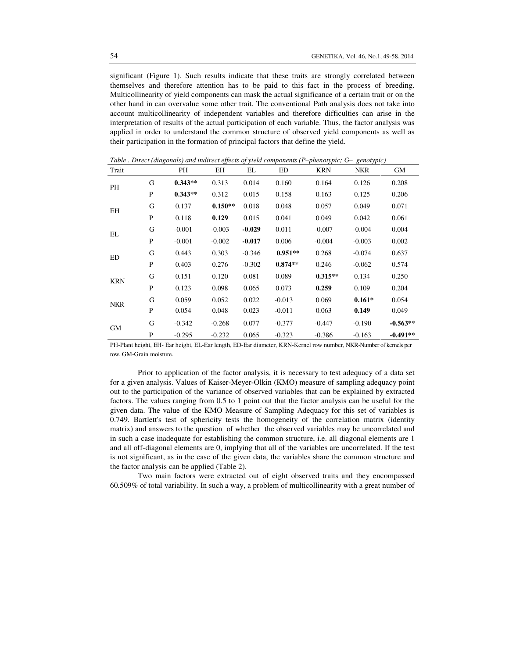significant (Figure 1). Such results indicate that these traits are strongly correlated between themselves and therefore attention has to be paid to this fact in the process of breeding. Multicollinearity of yield components can mask the actual significance of a certain trait or on the other hand in can overvalue some other trait. The conventional Path analysis does not take into account multicollinearity of independent variables and therefore difficulties can arise in the interpretation of results of the actual participation of each variable. Thus, the factor analysis was applied in order to understand the common structure of observed yield components as well as their participation in the formation of principal factors that define the yield.

| Trait      |   | PH        | EH        | EL       | ED        | <b>KRN</b>                                                            | <b>NKR</b> | GМ         |
|------------|---|-----------|-----------|----------|-----------|-----------------------------------------------------------------------|------------|------------|
| PH         | G | $0.343**$ | 0.313     | 0.014    | 0.160     | 0.164                                                                 | 0.126      | 0.208      |
|            | P | $0.343**$ | 0.312     | 0.015    | 0.158     | 0.163                                                                 | 0.125      | 0.206      |
| ΕH         | G | 0.137     | $0.150**$ | 0.018    | 0.048     | 0.057                                                                 | 0.049      | 0.071      |
|            | P | 0.118     | 0.129     | 0.015    | 0.041     | 0.049                                                                 | 0.042      | 0.061      |
| EL         | G | $-0.001$  | $-0.003$  | $-0.029$ | 0.011     | $-0.007$                                                              | $-0.004$   | 0.004      |
|            | P | $-0.001$  | $-0.002$  | $-0.017$ | 0.006     | $-0.004$                                                              | $-0.003$   | 0.002      |
| ED         | G | 0.443     | 0.303     | $-0.346$ | $0.951**$ | 0.268                                                                 | $-0.074$   | 0.637      |
|            | P | 0.403     | 0.276     | $-0.302$ | $0.874**$ | 0.246<br>$0.315**$<br>0.259<br>0.069<br>0.063<br>$-0.447$<br>$-0.386$ | $-0.062$   | 0.574      |
| <b>KRN</b> | G | 0.151     | 0.120     | 0.081    | 0.089     |                                                                       | 0.134      | 0.250      |
|            | P | 0.123     | 0.098     | 0.065    | 0.073     |                                                                       | 0.109      | 0.204      |
| <b>NKR</b> | G | 0.059     | 0.052     | 0.022    | $-0.013$  |                                                                       | $0.161*$   | 0.054      |
|            | P | 0.054     | 0.048     | 0.023    | $-0.011$  |                                                                       | 0.149      | 0.049      |
| GM         | G | $-0.342$  | $-0.268$  | 0.077    | $-0.377$  |                                                                       | $-0.190$   | $-0.563**$ |
|            | P | $-0.295$  | $-0.232$  | 0.065    | $-0.323$  |                                                                       | $-0.163$   | $-0.491**$ |

*Table . Direct (diagonals) and indirect effects of yield components (P–phenotypic; G– genotypic)* 

PH-Plant height, EH- Ear height, EL-Ear length, ED-Ear diameter, KRN-Kernel row number, NKR-Number of kernels per row, GM-Grain moisture.

Prior to application of the factor analysis, it is necessary to test adequacy of a data set for a given analysis. Values of Kaiser-Meyer-Olkin (KMO) measure of sampling adequacy point out to the participation of the variance of observed variables that can be explained by extracted factors. The values ranging from 0.5 to 1 point out that the factor analysis can be useful for the given data. The value of the KMO Measure of Sampling Adequacy for this set of variables is 0.749. Bartlett's test of sphericity tests the homogeneity of the correlation matrix (identity matrix) and answers to the question of whether the observed variables may be uncorrelated and in such a case inadequate for establishing the common structure, i.e. all diagonal elements are 1 and all off-diagonal elements are 0, implying that all of the variables are uncorrelated. If the test is not significant, as in the case of the given data, the variables share the common structure and the factor analysis can be applied (Table 2).

Two main factors were extracted out of eight observed traits and they encompassed 60.509% of total variability. In such a way, a problem of multicollinearity with a great number of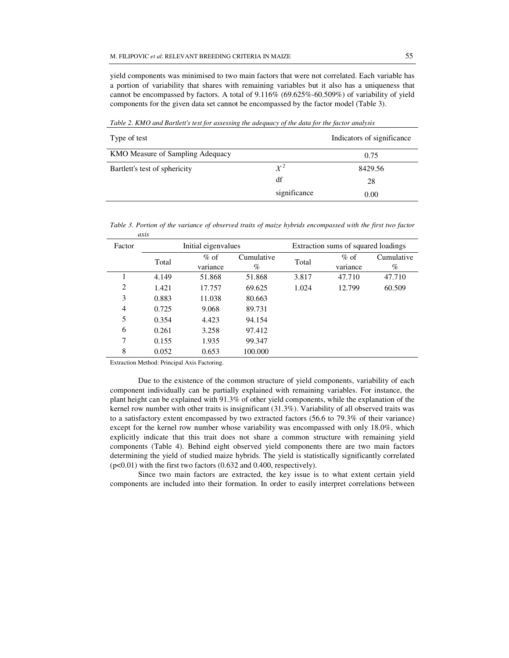yield components was minimised to two main factors that were not correlated. Each variable has a portion of variability that shares with remaining variables but it also has a uniqueness that cannot be encompassed by factors. A total of 9.116% (69.625%-60.509%) of variability of yield components for the given data set cannot be encompassed by the factor model (Table 3).

| Type of test                     |              | Indicators of significance |
|----------------------------------|--------------|----------------------------|
| KMO Measure of Sampling Adequacy |              | 0.75                       |
| Bartlett's test of sphericity    | $X^2$        | 8429.56                    |
|                                  | df           | 28                         |
|                                  | significance | 0.00                       |

*Table 2. KMO and Bartlett's test for assessing the adequacy of the data for the factor analysis*

*Table 3. Portion of the variance of observed traits of maize hybrids encompassed with the first two factor axis* 

| Factor | Initial eigenvalues |                    |                    | Extraction sums of squared loadings |                    |                    |
|--------|---------------------|--------------------|--------------------|-------------------------------------|--------------------|--------------------|
|        | Total               | $%$ of<br>variance | Cumulative<br>$\%$ | Total                               | $%$ of<br>variance | Cumulative<br>$\%$ |
|        | 4.149               | 51.868             | 51.868             | 3.817                               | 47.710             | 47.710             |
| 2      | 1.421               | 17.757             | 69.625             | 1.024                               | 12.799             | 60.509             |
| 3      | 0.883               | 11.038             | 80.663             |                                     |                    |                    |
| 4      | 0.725               | 9.068              | 89.731             |                                     |                    |                    |
| 5      | 0.354               | 4.423              | 94.154             |                                     |                    |                    |
| 6      | 0.261               | 3.258              | 97.412             |                                     |                    |                    |
| 7      | 0.155               | 1.935              | 99.347             |                                     |                    |                    |
| 8      | 0.052               | 0.653              | 100.000            |                                     |                    |                    |

Extraction Method: Principal Axis Factoring.

Due to the existence of the common structure of yield components, variability of each component individually can be partially explained with remaining variables. For instance, the plant height can be explained with 91.3% of other yield components, while the explanation of the kernel row number with other traits is insignificant (31.3%). Variability of all observed traits was to a satisfactory extent encompassed by two extracted factors (56.6 to 79.3% of their variance) except for the kernel row number whose variability was encompassed with only 18.0%, which explicitly indicate that this trait does not share a common structure with remaining yield components (Table 4). Behind eight observed yield components there are two main factors determining the yield of studied maize hybrids. The yield is statistically significantly correlated (p<0.01) with the first two factors (0.632 and 0.400, respectively).

 Since two main factors are extracted, the key issue is to what extent certain yield components are included into their formation. In order to easily interpret correlations between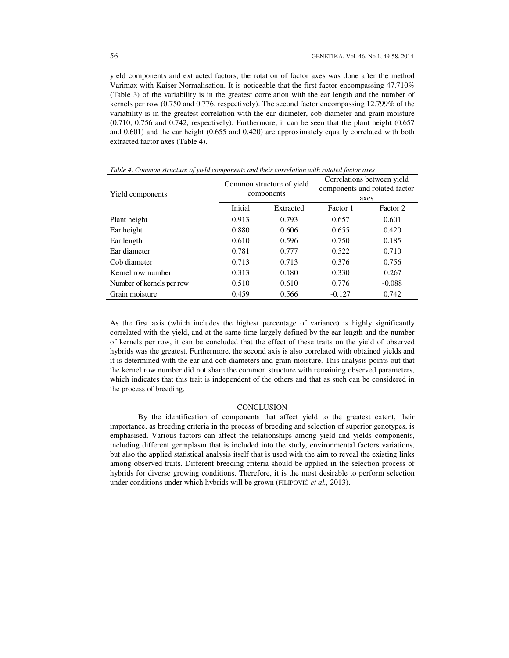yield components and extracted factors, the rotation of factor axes was done after the method Varimax with Kaiser Normalisation. It is noticeable that the first factor encompassing 47.710% (Table 3) of the variability is in the greatest correlation with the ear length and the number of kernels per row (0.750 and 0.776, respectively). The second factor encompassing 12.799% of the variability is in the greatest correlation with the ear diameter, cob diameter and grain moisture (0.710, 0.756 and 0.742, respectively). Furthermore, it can be seen that the plant height (0.657 and 0.601) and the ear height (0.655 and 0.420) are approximately equally correlated with both extracted factor axes (Table 4).

| Yield components          |         | Common structure of yield<br>components | Correlations between yield<br>components and rotated factor<br>axes |          |
|---------------------------|---------|-----------------------------------------|---------------------------------------------------------------------|----------|
|                           | Initial | Extracted                               | Factor 1                                                            | Factor 2 |
| Plant height              | 0.913   | 0.793                                   | 0.657                                                               | 0.601    |
| Ear height                | 0.880   | 0.606                                   | 0.655                                                               | 0.420    |
| Ear length                | 0.610   | 0.596                                   | 0.750                                                               | 0.185    |
| Ear diameter              | 0.781   | 0.777                                   | 0.522                                                               | 0.710    |
| Cob diameter              | 0.713   | 0.713                                   | 0.376                                                               | 0.756    |
| Kernel row number         | 0.313   | 0.180                                   | 0.330                                                               | 0.267    |
| Number of kernels per row | 0.510   | 0.610                                   | 0.776                                                               | $-0.088$ |
| Grain moisture            | 0.459   | 0.566                                   | $-0.127$                                                            | 0.742    |

As the first axis (which includes the highest percentage of variance) is highly significantly correlated with the yield, and at the same time largely defined by the ear length and the number of kernels per row, it can be concluded that the effect of these traits on the yield of observed hybrids was the greatest. Furthermore, the second axis is also correlated with obtained yields and it is determined with the ear and cob diameters and grain moisture. This analysis points out that the kernel row number did not share the common structure with remaining observed parameters, which indicates that this trait is independent of the others and that as such can be considered in the process of breeding.

#### **CONCLUSION**

By the identification of components that affect yield to the greatest extent, their importance, as breeding criteria in the process of breeding and selection of superior genotypes, is emphasised. Various factors can affect the relationships among yield and yields components, including different germplasm that is included into the study, environmental factors variations, but also the applied statistical analysis itself that is used with the aim to reveal the existing links among observed traits. Different breeding criteria should be applied in the selection process of hybrids for diverse growing conditions. Therefore, it is the most desirable to perform selection under conditions under which hybrids will be grown (FILIPOVIĆ *et al.,* 2013).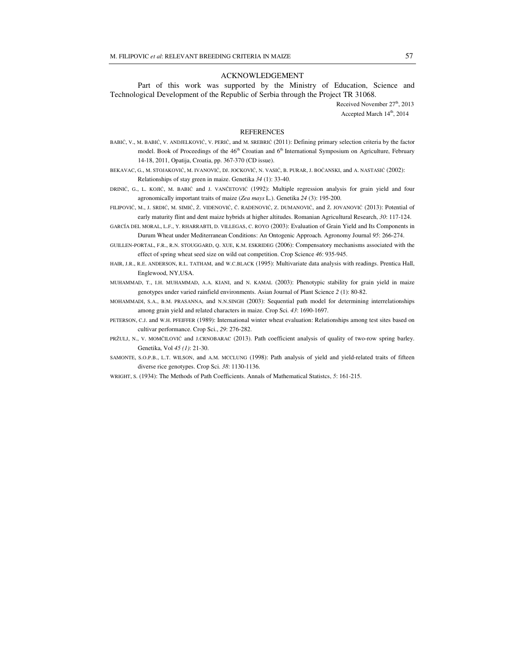#### ACKNOWLEDGEMENT

Part of this work was supported by the Ministry of Education, Science and Technological Development of the Republic of Serbia through the Project TR 31068.

> Received November 27<sup>th</sup>, 2013 Accepted March 14<sup>th</sup>, 2014

#### **REFERENCES**

- BABIĆ, V., M. BABIĆ, V. ANDJELKOVIĆ, V. PERIĆ, and M. SREBRIĆ (2011): Defining primary selection criteria by the factor model. Book of Proceedings of the 46<sup>th</sup> Croatian and 6<sup>th</sup> International Symposium on Agriculture, February 14-18, 2011, Opatija, Croatia, pp. 367-370 (CD issue).
- BEKAVAC, G., M. STOJAKOVIĆ, M. IVANOVIĆ, DJ. JOCKOVIĆ, N. VASIĆ, B. PURAR, J. BOĆANSKI, and A. NASTASIĆ (2002): Relationships of stay green in maize. Genetika *34* (1): 33-40.
- DRINIĆ, G., L. KOJIĆ, M. BABIĆ and J. VANČETOVIĆ (1992): Multiple regression analysis for grain yield and four agronomically important traits of maize (*Zea mays* L.). Genetika *24* (3): 195-200.
- FILIPOVIĆ, M., J. SRDIĆ, M. SIMIĆ, Ž. VIDENOVIĆ, Č. RADENOVIĆ, Z. DUMANOVIĆ, and Ž. JOVANOVIĆ (2013): Potential of early maturity flint and dent maize hybrids at higher altitudes. Romanian Agricultural Research, *30*: 117-124.
- GARCÍA DEL MORAL, L.F., Y. RHARRABTI, D. VILLEGAS, C. ROYO (2003): Evaluation of Grain Yield and Its Components in Durum Wheat under Mediterranean Conditions: An Ontogenic Approach. Agronomy Journal *95*: 266-274.
- GUILLEN-PORTAL, F.R., R.N. STOUGGARD, Q. XUE, K.M. ESKRIDEG (2006): Compensatory mechanisms associated with the effect of spring wheat seed size on wild oat competition. Crop Science *46*: 935-945.
- HAIR, J.R., R.E. ANDERSON, R.L. TATHAM, and W.C.BLACK (1995): Multivariate data analysis with readings. Prentica Hall, Englewood, NY,USA.
- МUHAMMAD, T., I.H. MUHAMMAD, A.A. KIANI, and N. KAMAL (2003): Phenotypic stability for grain yield in maize genotypes under varied rainfield environments. Asian Journal of Plant Science *2* (1): 80-82.
- MOHAMMADI, S.A., B.M. PRASANNA, and N.N.SINGH (2003): Sequential path model for determining interrelationships among grain yield and related characters in maize. Crop Sci. *43*: 1690-1697.
- PETERSON, C.J. and W.H. PFEIFFER (1989): International winter wheat evaluation: Relationships among test sites based on cultivar performance. Crop Sci., *29*: 276-282.
- PRŽULJ, N., V. MOMČILOVIĆ and J.CRNOBARAC (2013). Path coefficient analysis of quality of two-row spring barley. Genetika, Vol *45 (1)*: 21-30.
- SAMONTE, S.O.P.B., L.T. WILSON, and A.M. MCCLUNG (1998): Path analysis of yield and yield-related traits of fifteen diverse rice genotypes. Crop Sci. *38*: 1130-1136.

WRIGHT, S. (1934): The Methods of Path Coefficients. Annals of Mathematical Statistcs, *5*: 161-215.